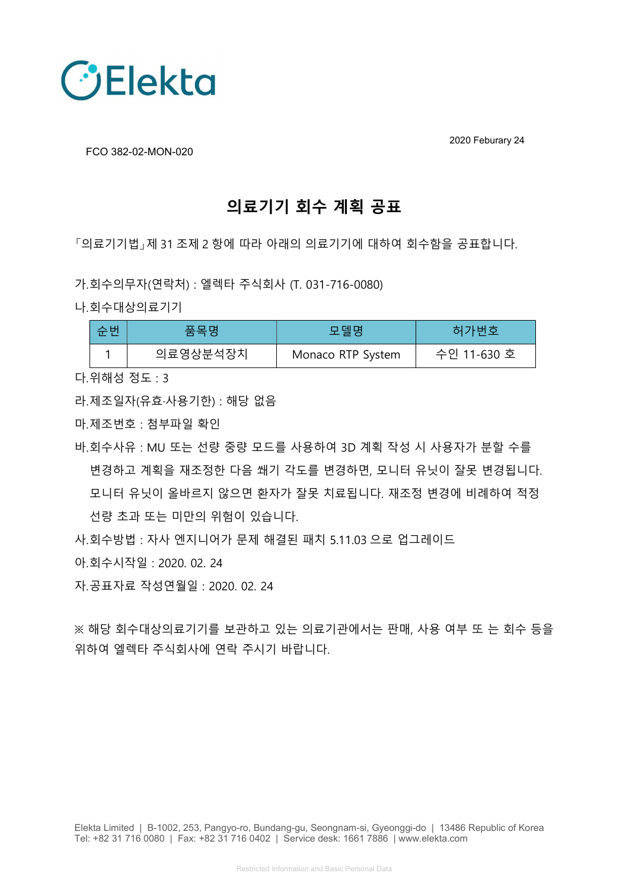

2020 Feburary 24

FCO 382-02-MON-020

## 의료기기 회수 계획 공표

「의료기기법」제 31 조제 2 항에 따라 아래의 의료기기에 대하여 회수함을 공표합니다.

- 가.회수의무자(연락처) : 엘렉타 주식회사 (T. 031-716-0080)
- 나.회수대상의료기기

| 수버 | 푹목명      | 모델명               | 허가번호        |
|----|----------|-------------------|-------------|
|    | 의료영상분석장치 | Monaco RTP System | 수인 11-630 호 |

다.위해성 정도 : 3

라.제조일자(유효·사용기한) : 해당 없음

마.제조번호 : 첨부파일 확인

바.회수사유 : MU 또는 선량 중량 모드를 사용하여 3D 계획 작성 시 사용자가 분할 수를 변경하고 계획을 재조정한 다음 쐐기 각도를 변경하면, 모니터 유닛이 잘못 변경됩니다. 모니터 유닛이 올바르지 않으면 환자가 잘못 치료됩니다. 재조정 변경에 비례하여 적정 선량 초과 또는 미만의 위험이 있습니다.

사.회수방법 : 자사 엔지니어가 문제 해결된 패치 5.11.03 으로 업그레이드

아.회수시작일 : 2020. 02. 24

자.공표자료 작성연월일 : 2020. 02. 24

※ 해당 회수대상의료기기를 보관하고 있는 의료기관에서는 판매, 사용 여부 또 는 회수 등을 위하여 엘렉타 주식회사에 연락 주시기 바랍니다.